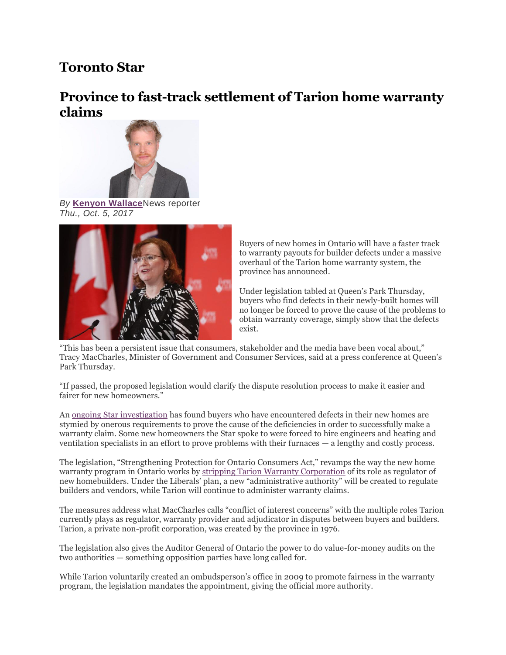# **Toronto Star**

## **Province to fast-track settlement of Tarion home warranty claims**



*By* **[Kenyon Wallace](https://www.thestar.com/authors.wallace_kenyon.html)**News reporter *Thu., Oct. 5, 2017*



Buyers of new homes in Ontario will have a faster track to warranty payouts for builder defects under a massive overhaul of the Tarion home warranty system, the province has announced.

Under legislation tabled at Queen's Park Thursday, buyers who find defects in their newly-built homes will no longer be forced to prove the cause of the problems to obtain warranty coverage, simply show that the defects exist.

"This has been a persistent issue that consumers, stakeholder and the media have been vocal about," Tracy MacCharles, Minister of Government and Consumer Services, said at a press conference at Queen's Park Thursday.

"If passed, the proposed legislation would clarify the dispute resolution process to make it easier and fairer for new homeowners."

An [ongoing Star investigation](https://www.thestar.com/news/canada/2013/07/06/star_investigation_homebuyers_not_getting_full_picture_from_protector_tarion.html) has found buyers who have encountered defects in their new homes are stymied by onerous requirements to prove the cause of the deficiencies in order to successfully make a warranty claim. Some new homeowners the Star spoke to were forced to hire engineers and heating and ventilation specialists in an effort to prove problems with their furnaces — a lengthy and costly process.

The legislation, "Strengthening Protection for Ontario Consumers Act," revamps the way the new home warranty program in Ontario works by [stripping Tarion Warranty Corporation](https://www.thestar.com/news/investigations/2017/03/28/province-stripping-tarion-of-builder-regulator-role.html) of its role as regulator of new homebuilders. Under the Liberals' plan, a new "administrative authority" will be created to regulate builders and vendors, while Tarion will continue to administer warranty claims.

The measures address what MacCharles calls "conflict of interest concerns" with the multiple roles Tarion currently plays as regulator, warranty provider and adjudicator in disputes between buyers and builders. Tarion, a private non-profit corporation, was created by the province in 1976.

The legislation also gives the Auditor General of Ontario the power to do value-for-money audits on the two authorities — something opposition parties have long called for.

While Tarion voluntarily created an ombudsperson's office in 2009 to promote fairness in the warranty program, the legislation mandates the appointment, giving the official more authority.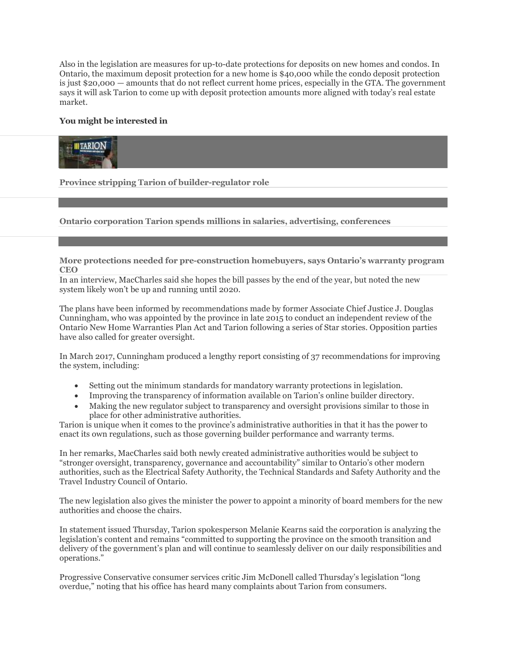Also in the legislation are measures for up-to-date protections for deposits on new homes and condos. In Ontario, the maximum deposit protection for a new home is \$40,000 while the condo deposit protection is just \$20,000 — amounts that do not reflect current home prices, especially in the GTA. The government says it will ask Tarion to come up with deposit protection amounts more aligned with today's real estate market.

#### **You might be interested in**



**[Province stripping Tarion of builder-regulator role](https://www.thestar.com/news/investigations/2017/03/28/province-stripping-tarion-of-builder-regulator-role.html?li_source=LI&li_medium=star_web_ymbii)**

### **[Ontario corporation Tarion spends millions in salaries, advertising,](https://www.thestar.com/news/canada/2016/10/03/home-warranty-corp-tarion-spends-millions-in-salaries-advertising-and-conferences.html?li_source=LI&li_medium=star_web_ymbii) conferences**

#### **[More protections needed for pre-construction homebuyers, says](https://www.thestar.com/business/2018/09/27/more-protections-needed-for-pre-construction-homebuyers-says-ontarios-warranty-program-ceo.html?li_source=LI&li_medium=star_web_ymbii) Ontario's warranty program [CEO](https://www.thestar.com/business/2018/09/27/more-protections-needed-for-pre-construction-homebuyers-says-ontarios-warranty-program-ceo.html?li_source=LI&li_medium=star_web_ymbii)**

In an interview, MacCharles said she hopes the bill passes by the end of the year, but noted the new system likely won't be up and running until 2020.

The plans have been informed by recommendations made by former Associate Chief Justice J. Douglas Cunningham, who was appointed by the province in late 2015 to conduct an independent review of the Ontario New Home Warranties Plan Act and Tarion following a series of Star stories. Opposition parties have also called for greater oversight.

In March 2017, Cunningham produced a lengthy report consisting of 37 recommendations for improving the system, including:

- Setting out the minimum standards for mandatory warranty protections in legislation.
- Improving the transparency of information available on Tarion's online builder directory.
- Making the new regulator subject to transparency and oversight provisions similar to those in place for other administrative authorities.

Tarion is unique when it comes to the province's administrative authorities in that it has the power to enact its own regulations, such as those governing builder performance and warranty terms.

In her remarks, MacCharles said both newly created administrative authorities would be subject to "stronger oversight, transparency, governance and accountability" similar to Ontario's other modern authorities, such as the Electrical Safety Authority, the Technical Standards and Safety Authority and the Travel Industry Council of Ontario.

The new legislation also gives the minister the power to appoint a minority of board members for the new authorities and choose the chairs.

In statement issued Thursday, Tarion spokesperson Melanie Kearns said the corporation is analyzing the legislation's content and remains "committed to supporting the province on the smooth transition and delivery of the government's plan and will continue to seamlessly deliver on our daily responsibilities and operations."

Progressive Conservative consumer services critic Jim McDonell called Thursday's legislation "long overdue," noting that his office has heard many complaints about Tarion from consumers.